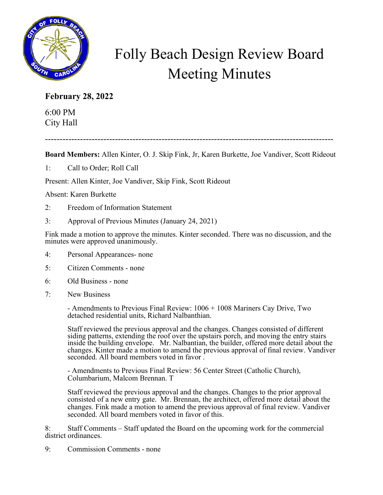

## Folly Beach Design Review Board Meeting Minutes

## **February 28, 2022**

6:00 PM City Hall

---------------------------------------------------------------------------------------------------

**Board Members:** Allen Kinter, O. J. Skip Fink, Jr, Karen Burkette, Joe Vandiver, Scott Rideout

1: Call to Order; Roll Call

Present: Allen Kinter, Joe Vandiver, Skip Fink, Scott Rideout

Absent: Karen Burkette

- 2: Freedom of Information Statement
- 3: Approval of Previous Minutes (January 24, 2021)

Fink made a motion to approve the minutes. Kinter seconded. There was no discussion, and the minutes were approved unanimously.

- 4: Personal Appearances- none
- 5: Citizen Comments none
- 6: Old Business none
- 7: New Business

- Amendments to Previous Final Review: 1006 + 1008 Mariners Cay Drive, Two detached residential units, Richard Nalbanthian.

Staff reviewed the previous approval and the changes. Changes consisted of different siding patterns, extending the roof over the upstairs porch, and moving the entry stairs inside the building envelope. Mr. Nalbantian, the builder, offered more detail about the changes. Kinter made a motion to amend the previous approval of final review. Vandiver seconded. All board members voted in favor .

- Amendments to Previous Final Review: 56 Center Street (Catholic Church), Columbarium, Malcom Brennan. T

Staff reviewed the previous approval and the changes. Changes to the prior approval consisted of a new entry gate. Mr. Brennan, the architect, offered more detail about the changes. Fink made a motion to amend the previous approval of final review. Vandiver seconded. All board members voted in favor of this.

8: Staff Comments – Staff updated the Board on the upcoming work for the commercial district ordinances.

9: Commission Comments - none